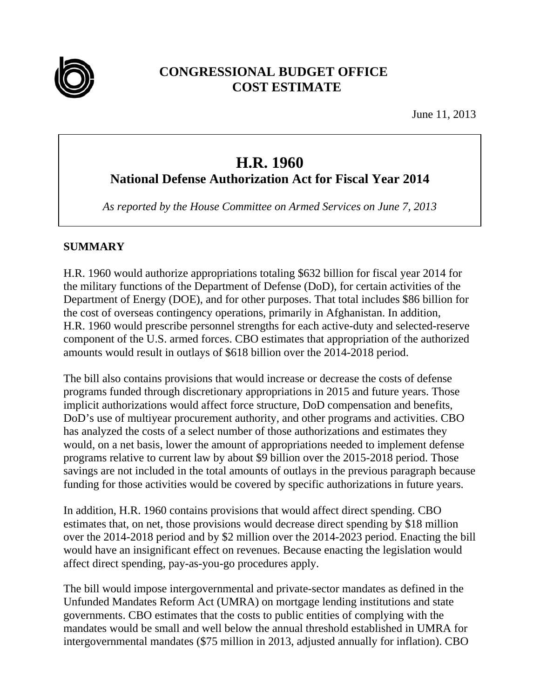

# **CONGRESSIONAL BUDGET OFFICE COST ESTIMATE**

June 11, 2013

# **H.R. 1960**

**National Defense Authorization Act for Fiscal Year 2014** 

*As reported by the House Committee on Armed Services on June 7, 2013* 

# **SUMMARY**

H.R. 1960 would authorize appropriations totaling \$632 billion for fiscal year 2014 for the military functions of the Department of Defense (DoD), for certain activities of the Department of Energy (DOE), and for other purposes. That total includes \$86 billion for the cost of overseas contingency operations, primarily in Afghanistan. In addition, H.R. 1960 would prescribe personnel strengths for each active-duty and selected-reserve component of the U.S. armed forces. CBO estimates that appropriation of the authorized amounts would result in outlays of \$618 billion over the 2014-2018 period.

The bill also contains provisions that would increase or decrease the costs of defense programs funded through discretionary appropriations in 2015 and future years. Those implicit authorizations would affect force structure, DoD compensation and benefits, DoD's use of multiyear procurement authority, and other programs and activities. CBO has analyzed the costs of a select number of those authorizations and estimates they would, on a net basis, lower the amount of appropriations needed to implement defense programs relative to current law by about \$9 billion over the 2015-2018 period. Those savings are not included in the total amounts of outlays in the previous paragraph because funding for those activities would be covered by specific authorizations in future years.

In addition, H.R. 1960 contains provisions that would affect direct spending. CBO estimates that, on net, those provisions would decrease direct spending by \$18 million over the 2014-2018 period and by \$2 million over the 2014-2023 period. Enacting the bill would have an insignificant effect on revenues. Because enacting the legislation would affect direct spending, pay-as-you-go procedures apply.

The bill would impose intergovernmental and private-sector mandates as defined in the Unfunded Mandates Reform Act (UMRA) on mortgage lending institutions and state governments. CBO estimates that the costs to public entities of complying with the mandates would be small and well below the annual threshold established in UMRA for intergovernmental mandates (\$75 million in 2013, adjusted annually for inflation). CBO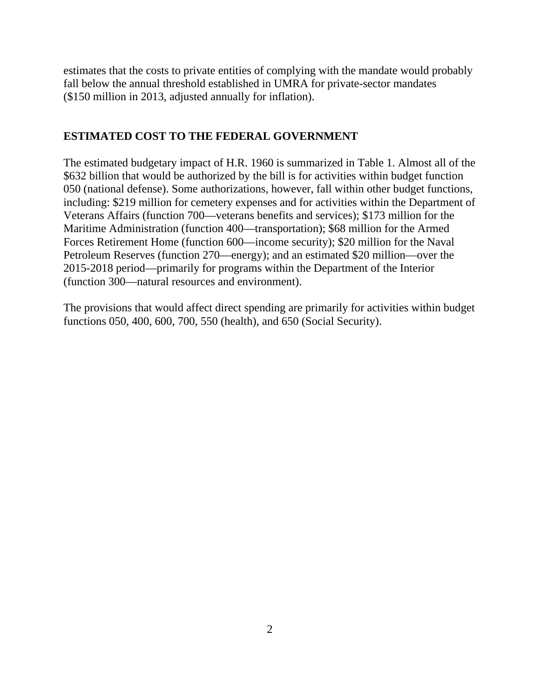estimates that the costs to private entities of complying with the mandate would probably fall below the annual threshold established in UMRA for private-sector mandates (\$150 million in 2013, adjusted annually for inflation).

# **ESTIMATED COST TO THE FEDERAL GOVERNMENT**

The estimated budgetary impact of H.R. 1960 is summarized in Table 1. Almost all of the \$632 billion that would be authorized by the bill is for activities within budget function 050 (national defense). Some authorizations, however, fall within other budget functions, including: \$219 million for cemetery expenses and for activities within the Department of Veterans Affairs (function 700—veterans benefits and services); \$173 million for the Maritime Administration (function 400—transportation); \$68 million for the Armed Forces Retirement Home (function 600—income security); \$20 million for the Naval Petroleum Reserves (function 270—energy); and an estimated \$20 million—over the 2015-2018 period—primarily for programs within the Department of the Interior (function 300—natural resources and environment).

The provisions that would affect direct spending are primarily for activities within budget functions 050, 400, 600, 700, 550 (health), and 650 (Social Security).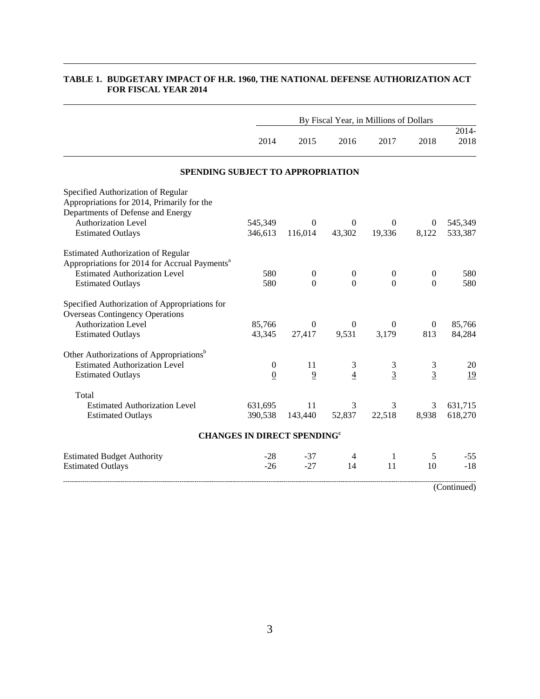|                                                           |                |                                               |                  | By Fiscal Year, in Millions of Dollars |                  |               |
|-----------------------------------------------------------|----------------|-----------------------------------------------|------------------|----------------------------------------|------------------|---------------|
|                                                           | 2014           | 2015                                          | 2016             | 2017                                   | 2018             | 2014-<br>2018 |
| SPENDING SUBJECT TO APPROPRIATION                         |                |                                               |                  |                                        |                  |               |
| Specified Authorization of Regular                        |                |                                               |                  |                                        |                  |               |
| Appropriations for 2014, Primarily for the                |                |                                               |                  |                                        |                  |               |
| Departments of Defense and Energy                         |                |                                               |                  |                                        |                  |               |
| <b>Authorization Level</b>                                | 545,349        | $\Omega$                                      | $\mathbf{0}$     | $\theta$                               | $\overline{0}$   | 545,349       |
| <b>Estimated Outlays</b>                                  | 346,613        | 116,014                                       | 43,302           | 19,336                                 | 8,122            | 533,387       |
| <b>Estimated Authorization of Regular</b>                 |                |                                               |                  |                                        |                  |               |
| Appropriations for 2014 for Accrual Payments <sup>a</sup> |                |                                               |                  |                                        |                  |               |
| <b>Estimated Authorization Level</b>                      | 580            | $\boldsymbol{0}$                              | $\boldsymbol{0}$ | $\mathbf{0}$                           | $\boldsymbol{0}$ | 580           |
| <b>Estimated Outlays</b>                                  | 580            | $\Omega$                                      | $\overline{0}$   | $\mathbf{0}$                           | $\overline{0}$   | 580           |
| Specified Authorization of Appropriations for             |                |                                               |                  |                                        |                  |               |
| <b>Overseas Contingency Operations</b>                    |                |                                               |                  |                                        |                  |               |
| <b>Authorization Level</b>                                | 85,766         | $\mathbf{0}$                                  | $\mathbf{0}$     | $\Omega$                               | $\boldsymbol{0}$ | 85,766        |
| <b>Estimated Outlays</b>                                  | 43,345         | 27,417                                        | 9,531            | 3,179                                  | 813              | 84,284        |
| Other Authorizations of Appropriations <sup>b</sup>       |                |                                               |                  |                                        |                  |               |
| <b>Estimated Authorization Level</b>                      | $\overline{0}$ | 11                                            | 3                | 3                                      | 3                | 20            |
| <b>Estimated Outlays</b>                                  | $\overline{0}$ | $\overline{9}$                                | $\overline{4}$   | $\overline{3}$                         | $\overline{3}$   | <u>19</u>     |
| Total                                                     |                |                                               |                  |                                        |                  |               |
| <b>Estimated Authorization Level</b>                      | 631,695        | 11                                            | 3                | 3                                      | 3                | 631,715       |
| <b>Estimated Outlays</b>                                  | 390,538        | 143,440                                       | 52,837           | 22,518                                 | 8,938            | 618,270       |
|                                                           |                | <b>CHANGES IN DIRECT SPENDING<sup>c</sup></b> |                  |                                        |                  |               |
| <b>Estimated Budget Authority</b>                         | $-28$          | $-37$                                         | 4                | 1                                      | 5                | $-55$         |
| <b>Estimated Outlays</b>                                  | $-26$          | $-27$                                         | 14               | 11                                     | 10               | $-18$         |
|                                                           |                |                                               |                  |                                        |                  | (Continued)   |

### **TABLE 1. BUDGETARY IMPACT OF H.R. 1960, THE NATIONAL DEFENSE AUTHORIZATION ACT FOR FISCAL YEAR 2014**

L.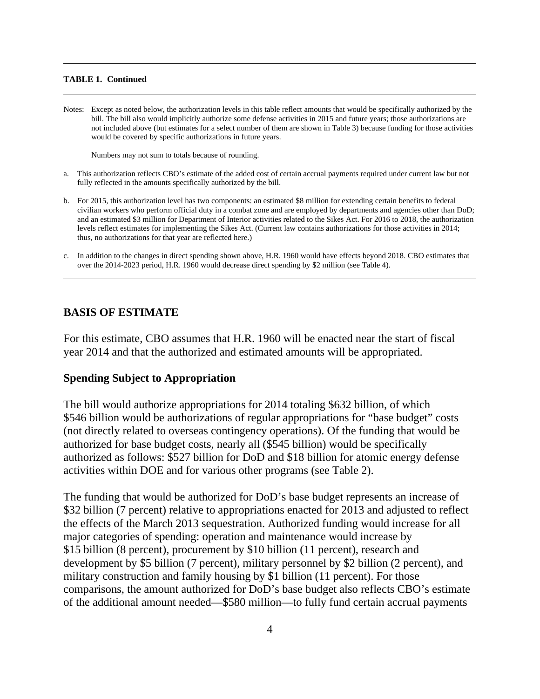#### **TABLE 1. Continued**

Notes: Except as noted below, the authorization levels in this table reflect amounts that would be specifically authorized by the bill. The bill also would implicitly authorize some defense activities in 2015 and future years; those authorizations are not included above (but estimates for a select number of them are shown in Table 3) because funding for those activities would be covered by specific authorizations in future years.

Numbers may not sum to totals because of rounding.

- a. This authorization reflects CBO's estimate of the added cost of certain accrual payments required under current law but not fully reflected in the amounts specifically authorized by the bill.
- b. For 2015, this authorization level has two components: an estimated \$8 million for extending certain benefits to federal civilian workers who perform official duty in a combat zone and are employed by departments and agencies other than DoD; and an estimated \$3 million for Department of Interior activities related to the Sikes Act. For 2016 to 2018, the authorization levels reflect estimates for implementing the Sikes Act. (Current law contains authorizations for those activities in 2014; thus, no authorizations for that year are reflected here.)
- c. In addition to the changes in direct spending shown above, H.R. 1960 would have effects beyond 2018. CBO estimates that over the 2014-2023 period, H.R. 1960 would decrease direct spending by \$2 million (see Table 4).

### **BASIS OF ESTIMATE**

For this estimate, CBO assumes that H.R. 1960 will be enacted near the start of fiscal year 2014 and that the authorized and estimated amounts will be appropriated.

### **Spending Subject to Appropriation**

The bill would authorize appropriations for 2014 totaling \$632 billion, of which \$546 billion would be authorizations of regular appropriations for "base budget" costs (not directly related to overseas contingency operations). Of the funding that would be authorized for base budget costs, nearly all (\$545 billion) would be specifically authorized as follows: \$527 billion for DoD and \$18 billion for atomic energy defense activities within DOE and for various other programs (see Table 2).

The funding that would be authorized for DoD's base budget represents an increase of \$32 billion (7 percent) relative to appropriations enacted for 2013 and adjusted to reflect the effects of the March 2013 sequestration. Authorized funding would increase for all major categories of spending: operation and maintenance would increase by \$15 billion (8 percent), procurement by \$10 billion (11 percent), research and development by \$5 billion (7 percent), military personnel by \$2 billion (2 percent), and military construction and family housing by \$1 billion (11 percent). For those comparisons, the amount authorized for DoD's base budget also reflects CBO's estimate of the additional amount needed—\$580 million—to fully fund certain accrual payments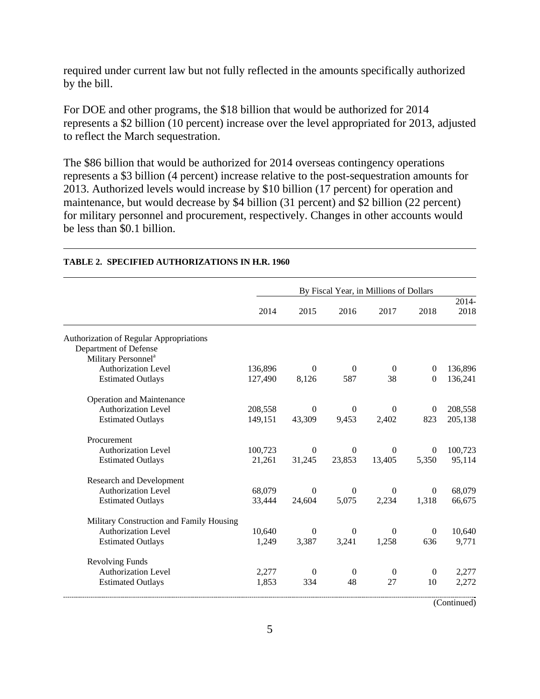required under current law but not fully reflected in the amounts specifically authorized by the bill.

For DOE and other programs, the \$18 billion that would be authorized for 2014 represents a \$2 billion (10 percent) increase over the level appropriated for 2013, adjusted to reflect the March sequestration.

The \$86 billion that would be authorized for 2014 overseas contingency operations represents a \$3 billion (4 percent) increase relative to the post-sequestration amounts for 2013. Authorized levels would increase by \$10 billion (17 percent) for operation and maintenance, but would decrease by \$4 billion (31 percent) and \$2 billion (22 percent) for military personnel and procurement, respectively. Changes in other accounts would be less than \$0.1 billion.

|                                                |         |                  |                  | By Fiscal Year, in Millions of Dollars |                  |               |
|------------------------------------------------|---------|------------------|------------------|----------------------------------------|------------------|---------------|
|                                                | 2014    | 2015             | 2016             | 2017                                   | 2018             | 2014-<br>2018 |
| <b>Authorization of Regular Appropriations</b> |         |                  |                  |                                        |                  |               |
| Department of Defense                          |         |                  |                  |                                        |                  |               |
| Military Personnel <sup>a</sup>                |         |                  |                  |                                        |                  |               |
| <b>Authorization Level</b>                     | 136,896 | $\Omega$         | $\overline{0}$   | $\overline{0}$                         | $\theta$         | 136,896       |
| <b>Estimated Outlays</b>                       | 127,490 | 8,126            | 587              | 38                                     | $\Omega$         | 136,241       |
| <b>Operation and Maintenance</b>               |         |                  |                  |                                        |                  |               |
| <b>Authorization Level</b>                     | 208,558 | $\theta$         | $\boldsymbol{0}$ | $\Omega$                               | $\boldsymbol{0}$ | 208,558       |
| <b>Estimated Outlays</b>                       | 149,151 | 43,309           | 9,453            | 2,402                                  | 823              | 205,138       |
| Procurement                                    |         |                  |                  |                                        |                  |               |
| <b>Authorization Level</b>                     | 100,723 | $\overline{0}$   | $\boldsymbol{0}$ | $\theta$                               | $\theta$         | 100,723       |
| <b>Estimated Outlays</b>                       | 21,261  | 31,245           | 23,853           | 13,405                                 | 5,350            | 95,114        |
| <b>Research and Development</b>                |         |                  |                  |                                        |                  |               |
| <b>Authorization Level</b>                     | 68,079  | $\Omega$         | $\theta$         | $\Omega$                               | $\overline{0}$   | 68,079        |
| <b>Estimated Outlays</b>                       | 33,444  | 24,604           | 5,075            | 2,234                                  | 1,318            | 66,675        |
| Military Construction and Family Housing       |         |                  |                  |                                        |                  |               |
| <b>Authorization Level</b>                     | 10,640  | $\boldsymbol{0}$ | $\boldsymbol{0}$ | $\overline{0}$                         | $\overline{0}$   | 10,640        |
| <b>Estimated Outlays</b>                       | 1,249   | 3,387            | 3,241            | 1,258                                  | 636              | 9,771         |
| <b>Revolving Funds</b>                         |         |                  |                  |                                        |                  |               |
| <b>Authorization Level</b>                     | 2,277   | $\overline{0}$   | $\overline{0}$   | $\boldsymbol{0}$                       | $\overline{0}$   | 2,277         |
| <b>Estimated Outlays</b>                       | 1,853   | 334              | 48               | 27                                     | 10               | 2,272         |

### **TABLE 2. SPECIFIED AUTHORIZATIONS IN H.R. 1960**

(Continued)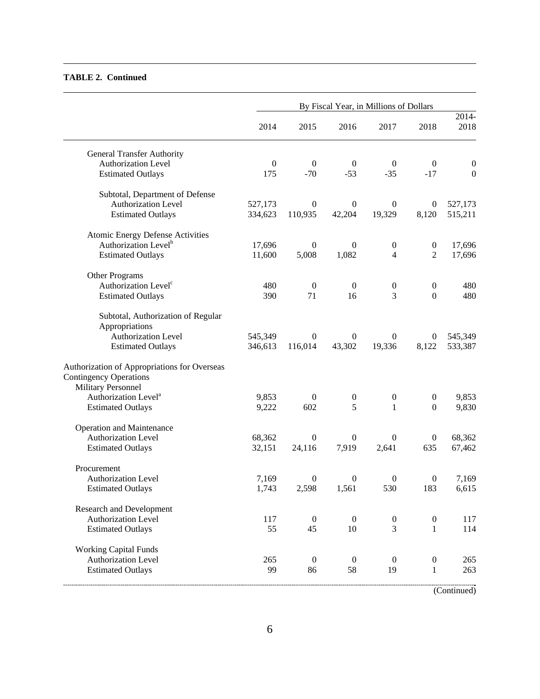#### **TABLE 2. Continued**

|                                                                               |                |                  |                       | By Fiscal Year, in Millions of Dollars |                  |                  |
|-------------------------------------------------------------------------------|----------------|------------------|-----------------------|----------------------------------------|------------------|------------------|
|                                                                               | 2014           | 2015             | 2016                  | 2017                                   | 2018             | 2014-<br>2018    |
| <b>General Transfer Authority</b>                                             |                |                  |                       |                                        |                  |                  |
| <b>Authorization Level</b>                                                    | $\overline{0}$ | $\boldsymbol{0}$ | $\boldsymbol{0}$      | $\boldsymbol{0}$                       | $\boldsymbol{0}$ | $\boldsymbol{0}$ |
| <b>Estimated Outlays</b>                                                      | 175            | $-70$            | $-53$                 | $-35$                                  | $-17$            | $\boldsymbol{0}$ |
| Subtotal, Department of Defense                                               |                |                  |                       |                                        |                  |                  |
| Authorization Level                                                           | 527,173        | $\boldsymbol{0}$ | $\boldsymbol{0}$      | $\theta$                               | $\boldsymbol{0}$ | 527,173          |
| <b>Estimated Outlays</b>                                                      | 334,623        | 110,935          | 42,204                | 19,329                                 | 8,120            | 515,211          |
| <b>Atomic Energy Defense Activities</b>                                       |                |                  |                       |                                        |                  |                  |
| Authorization Level <sup>b</sup>                                              | 17,696         | $\boldsymbol{0}$ | $\boldsymbol{0}$      | $\boldsymbol{0}$                       | $\boldsymbol{0}$ | 17,696           |
| <b>Estimated Outlays</b>                                                      | 11,600         | 5,008            | 1,082                 | $\overline{4}$                         | $\overline{2}$   | 17,696           |
| Other Programs                                                                |                |                  |                       |                                        |                  |                  |
| Authorization Level <sup>c</sup>                                              | 480            | $\boldsymbol{0}$ | $\boldsymbol{0}$      | $\boldsymbol{0}$                       | $\boldsymbol{0}$ | 480              |
| <b>Estimated Outlays</b>                                                      | 390            | 71               | 16                    | 3                                      | $\boldsymbol{0}$ | 480              |
| Subtotal, Authorization of Regular                                            |                |                  |                       |                                        |                  |                  |
| Appropriations                                                                |                |                  |                       |                                        |                  |                  |
| Authorization Level                                                           | 545,349        | $\theta$         | $\boldsymbol{0}$      | 0                                      | $\boldsymbol{0}$ | 545,349          |
| <b>Estimated Outlays</b>                                                      | 346,613        | 116,014          | 43,302                | 19,336                                 | 8,122            | 533,387          |
| Authorization of Appropriations for Overseas<br><b>Contingency Operations</b> |                |                  |                       |                                        |                  |                  |
|                                                                               |                |                  |                       |                                        |                  |                  |
| Military Personnel<br>Authorization Level <sup>a</sup>                        | 9,853          |                  |                       |                                        |                  |                  |
|                                                                               |                | $\boldsymbol{0}$ | $\boldsymbol{0}$<br>5 | $\boldsymbol{0}$<br>$\mathbf{1}$       | $\boldsymbol{0}$ | 9,853            |
| <b>Estimated Outlays</b>                                                      | 9,222          | 602              |                       |                                        | $\boldsymbol{0}$ | 9,830            |
| <b>Operation and Maintenance</b><br><b>Authorization Level</b>                | 68,362         | $\boldsymbol{0}$ | $\boldsymbol{0}$      | $\theta$                               | $\boldsymbol{0}$ | 68,362           |
| <b>Estimated Outlays</b>                                                      | 32,151         | 24,116           | 7,919                 | 2,641                                  | 635              | 67,462           |
|                                                                               |                |                  |                       |                                        |                  |                  |
| Procurement                                                                   |                |                  |                       |                                        |                  |                  |
| Authorization Level                                                           | 7,169          | $\boldsymbol{0}$ | $\boldsymbol{0}$      | $\boldsymbol{0}$                       | $\boldsymbol{0}$ | 7,169            |
| <b>Estimated Outlays</b>                                                      | 1,743          | 2,598            | 1,561                 | 530                                    | 183              | 6,615            |
| <b>Research and Development</b>                                               |                |                  |                       |                                        |                  |                  |
| <b>Authorization Level</b>                                                    | 117            | $\boldsymbol{0}$ | $\boldsymbol{0}$      | $\boldsymbol{0}$                       | $\boldsymbol{0}$ | 117              |
| <b>Estimated Outlays</b>                                                      | 55             | 45               | 10                    | 3                                      | $\mathbf{1}$     | 114              |
| <b>Working Capital Funds</b>                                                  |                |                  |                       |                                        |                  |                  |
| <b>Authorization Level</b>                                                    | 265            | $\boldsymbol{0}$ | $\boldsymbol{0}$      | $\boldsymbol{0}$                       | $\boldsymbol{0}$ | 265              |
| <b>Estimated Outlays</b>                                                      | 99             | 86               | 58                    | 19                                     | 1                | 263              |

(Continued)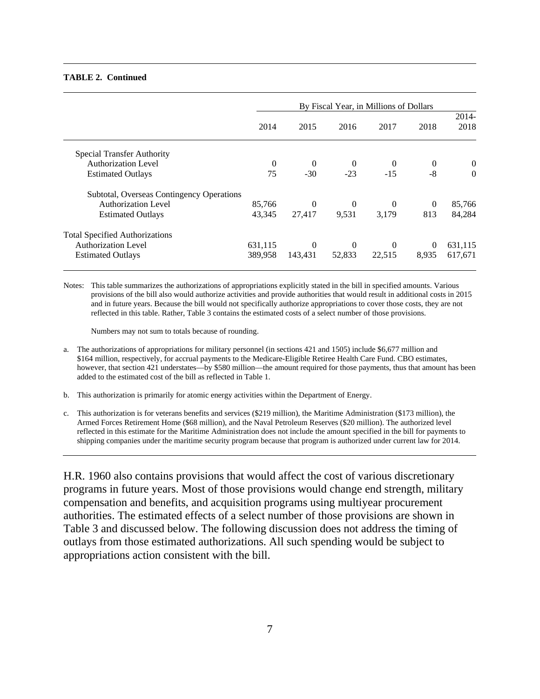#### **TABLE 2. Continued**

|                                           | By Fiscal Year, in Millions of Dollars |          |                |          |          |                  |  |  |  |  |  |
|-------------------------------------------|----------------------------------------|----------|----------------|----------|----------|------------------|--|--|--|--|--|
|                                           | 2014                                   | 2015     | 2016           | 2017     | 2018     | $2014-$<br>2018  |  |  |  |  |  |
| Special Transfer Authority                |                                        |          |                |          |          |                  |  |  |  |  |  |
| <b>Authorization Level</b>                | 0                                      | $\Omega$ | $\overline{0}$ | $\theta$ | $\theta$ | $\boldsymbol{0}$ |  |  |  |  |  |
| <b>Estimated Outlays</b>                  | 75                                     | $-30$    | $-23$          | $-15$    | $-8$     | $\Omega$         |  |  |  |  |  |
| Subtotal, Overseas Contingency Operations |                                        |          |                |          |          |                  |  |  |  |  |  |
| <b>Authorization Level</b>                | 85,766                                 | $\Omega$ | $\overline{0}$ | $\theta$ | $\Omega$ | 85,766           |  |  |  |  |  |
| <b>Estimated Outlays</b>                  | 43.345                                 | 27,417   | 9,531          | 3.179    | 813      | 84,284           |  |  |  |  |  |
| <b>Total Specified Authorizations</b>     |                                        |          |                |          |          |                  |  |  |  |  |  |
| <b>Authorization Level</b>                | 631,115                                | $\Omega$ | $\theta$       | $\theta$ | $\theta$ | 631,115          |  |  |  |  |  |
| <b>Estimated Outlays</b>                  | 389,958                                | 143,431  | 52,833         | 22,515   | 8,935    | 617,671          |  |  |  |  |  |

Notes: This table summarizes the authorizations of appropriations explicitly stated in the bill in specified amounts. Various provisions of the bill also would authorize activities and provide authorities that would result in additional costs in 2015 and in future years. Because the bill would not specifically authorize appropriations to cover those costs, they are not reflected in this table. Rather, Table 3 contains the estimated costs of a select number of those provisions.

Numbers may not sum to totals because of rounding.

- a. The authorizations of appropriations for military personnel (in sections 421 and 1505) include \$6,677 million and \$164 million, respectively, for accrual payments to the Medicare-Eligible Retiree Health Care Fund. CBO estimates, however, that section 421 understates—by \$580 million—the amount required for those payments, thus that amount has been added to the estimated cost of the bill as reflected in Table 1.
- b. This authorization is primarily for atomic energy activities within the Department of Energy.
- c. This authorization is for veterans benefits and services (\$219 million), the Maritime Administration (\$173 million), the Armed Forces Retirement Home (\$68 million), and the Naval Petroleum Reserves (\$20 million). The authorized level reflected in this estimate for the Maritime Administration does not include the amount specified in the bill for payments to shipping companies under the maritime security program because that program is authorized under current law for 2014.

H.R. 1960 also contains provisions that would affect the cost of various discretionary programs in future years. Most of those provisions would change end strength, military compensation and benefits, and acquisition programs using multiyear procurement authorities. The estimated effects of a select number of those provisions are shown in Table 3 and discussed below. The following discussion does not address the timing of outlays from those estimated authorizations. All such spending would be subject to appropriations action consistent with the bill.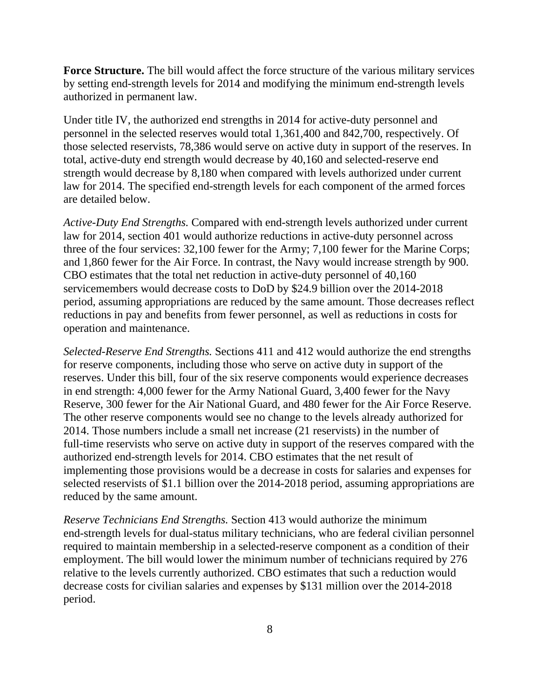**Force Structure.** The bill would affect the force structure of the various military services by setting end-strength levels for 2014 and modifying the minimum end-strength levels authorized in permanent law.

Under title IV, the authorized end strengths in 2014 for active-duty personnel and personnel in the selected reserves would total 1,361,400 and 842,700, respectively. Of those selected reservists, 78,386 would serve on active duty in support of the reserves. In total, active-duty end strength would decrease by 40,160 and selected-reserve end strength would decrease by 8,180 when compared with levels authorized under current law for 2014. The specified end-strength levels for each component of the armed forces are detailed below.

*Active-Duty End Strengths.* Compared with end-strength levels authorized under current law for 2014, section 401 would authorize reductions in active-duty personnel across three of the four services: 32,100 fewer for the Army; 7,100 fewer for the Marine Corps; and 1,860 fewer for the Air Force. In contrast, the Navy would increase strength by 900. CBO estimates that the total net reduction in active-duty personnel of 40,160 servicemembers would decrease costs to DoD by \$24.9 billion over the 2014-2018 period, assuming appropriations are reduced by the same amount. Those decreases reflect reductions in pay and benefits from fewer personnel, as well as reductions in costs for operation and maintenance.

*Selected-Reserve End Strengths.* Sections 411 and 412 would authorize the end strengths for reserve components, including those who serve on active duty in support of the reserves. Under this bill, four of the six reserve components would experience decreases in end strength: 4,000 fewer for the Army National Guard, 3,400 fewer for the Navy Reserve, 300 fewer for the Air National Guard, and 480 fewer for the Air Force Reserve. The other reserve components would see no change to the levels already authorized for 2014. Those numbers include a small net increase (21 reservists) in the number of full-time reservists who serve on active duty in support of the reserves compared with the authorized end-strength levels for 2014. CBO estimates that the net result of implementing those provisions would be a decrease in costs for salaries and expenses for selected reservists of \$1.1 billion over the 2014-2018 period, assuming appropriations are reduced by the same amount.

*Reserve Technicians End Strengths.* Section 413 would authorize the minimum end-strength levels for dual-status military technicians, who are federal civilian personnel required to maintain membership in a selected-reserve component as a condition of their employment. The bill would lower the minimum number of technicians required by 276 relative to the levels currently authorized. CBO estimates that such a reduction would decrease costs for civilian salaries and expenses by \$131 million over the 2014-2018 period.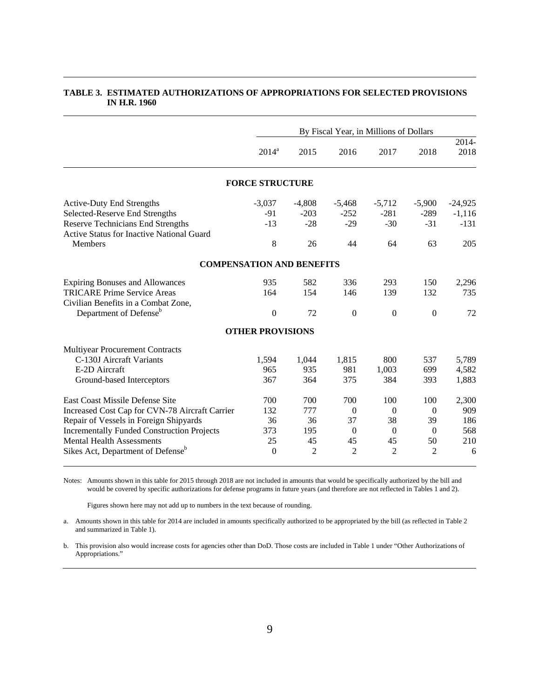|                                                   |                         | By Fiscal Year, in Millions of Dollars |                  |                |          |               |  |  |  |
|---------------------------------------------------|-------------------------|----------------------------------------|------------------|----------------|----------|---------------|--|--|--|
|                                                   | $2014^a$                | 2015                                   | 2016             | 2017           | 2018     | 2014-<br>2018 |  |  |  |
|                                                   | <b>FORCE STRUCTURE</b>  |                                        |                  |                |          |               |  |  |  |
| <b>Active-Duty End Strengths</b>                  | $-3,037$                | $-4,808$                               | $-5,468$         | $-5,712$       | $-5,900$ | $-24,925$     |  |  |  |
| Selected-Reserve End Strengths                    | $-91$                   | $-203$                                 | $-252$           | $-281$         | $-289$   | $-1,116$      |  |  |  |
| <b>Reserve Technicians End Strengths</b>          | $-13$                   | $-28$                                  | $-29$            | $-30$          | $-31$    | $-131$        |  |  |  |
| <b>Active Status for Inactive National Guard</b>  |                         |                                        |                  |                |          |               |  |  |  |
| <b>Members</b>                                    | 8                       | 26                                     | 44               | 64             | 63       | 205           |  |  |  |
| <b>COMPENSATION AND BENEFITS</b>                  |                         |                                        |                  |                |          |               |  |  |  |
| <b>Expiring Bonuses and Allowances</b>            | 935                     | 582                                    | 336              | 293            | 150      | 2,296         |  |  |  |
| <b>TRICARE Prime Service Areas</b>                | 164                     | 154                                    | 146              | 139            | 132      | 735           |  |  |  |
| Civilian Benefits in a Combat Zone,               |                         |                                        |                  |                |          |               |  |  |  |
| Department of Defense <sup>b</sup>                | $\mathbf{0}$            | 72                                     | $\mathbf{0}$     | $\Omega$       | $\Omega$ | 72            |  |  |  |
|                                                   | <b>OTHER PROVISIONS</b> |                                        |                  |                |          |               |  |  |  |
| Multiyear Procurement Contracts                   |                         |                                        |                  |                |          |               |  |  |  |
| C-130J Aircraft Variants                          | 1,594                   | 1,044                                  | 1,815            | 800            | 537      | 5,789         |  |  |  |
| E-2D Aircraft                                     | 965                     | 935                                    | 981              | 1,003          | 699      | 4,582         |  |  |  |
| Ground-based Interceptors                         | 367                     | 364                                    | 375              | 384            | 393      | 1,883         |  |  |  |
| <b>East Coast Missile Defense Site</b>            | 700                     | 700                                    | 700              | 100            | 100      | 2,300         |  |  |  |
| Increased Cost Cap for CVN-78 Aircraft Carrier    | 132                     | 777                                    | $\boldsymbol{0}$ | $\Omega$       | $\theta$ | 909           |  |  |  |
| Repair of Vessels in Foreign Shipyards            | 36                      | 36                                     | 37               | 38             | 39       | 186           |  |  |  |
| <b>Incrementally Funded Construction Projects</b> | 373                     | 195                                    | $\theta$         | $\mathbf{0}$   | $\theta$ | 568           |  |  |  |
| <b>Mental Health Assessments</b>                  | 25                      | 45                                     | 45               | 45             | 50       | 210           |  |  |  |
| Sikes Act, Department of Defense <sup>b</sup>     | $\overline{0}$          | $\overline{2}$                         | $\overline{2}$   | $\overline{2}$ | 2        | 6             |  |  |  |
|                                                   |                         |                                        |                  |                |          |               |  |  |  |

#### **TABLE 3. ESTIMATED AUTHORIZATIONS OF APPROPRIATIONS FOR SELECTED PROVISIONS IN H.R. 1960**

Notes: Amounts shown in this table for 2015 through 2018 are not included in amounts that would be specifically authorized by the bill and would be covered by specific authorizations for defense programs in future years (and therefore are not reflected in Tables 1 and 2).

Figures shown here may not add up to numbers in the text because of rounding.

a. Amounts shown in this table for 2014 are included in amounts specifically authorized to be appropriated by the bill (as reflected in Table 2 and summarized in Table 1).

b. This provision also would increase costs for agencies other than DoD. Those costs are included in Table 1 under "Other Authorizations of Appropriations."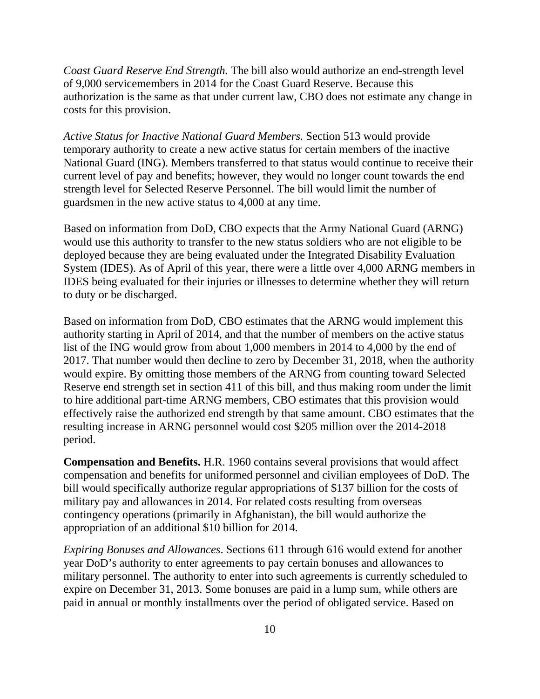*Coast Guard Reserve End Strength.* The bill also would authorize an end-strength level of 9,000 servicemembers in 2014 for the Coast Guard Reserve. Because this authorization is the same as that under current law, CBO does not estimate any change in costs for this provision.

*Active Status for Inactive National Guard Members.* Section 513 would provide temporary authority to create a new active status for certain members of the inactive National Guard (ING). Members transferred to that status would continue to receive their current level of pay and benefits; however, they would no longer count towards the end strength level for Selected Reserve Personnel. The bill would limit the number of guardsmen in the new active status to 4,000 at any time.

Based on information from DoD, CBO expects that the Army National Guard (ARNG) would use this authority to transfer to the new status soldiers who are not eligible to be deployed because they are being evaluated under the Integrated Disability Evaluation System (IDES). As of April of this year, there were a little over 4,000 ARNG members in IDES being evaluated for their injuries or illnesses to determine whether they will return to duty or be discharged.

Based on information from DoD, CBO estimates that the ARNG would implement this authority starting in April of 2014, and that the number of members on the active status list of the ING would grow from about 1,000 members in 2014 to 4,000 by the end of 2017. That number would then decline to zero by December 31, 2018, when the authority would expire. By omitting those members of the ARNG from counting toward Selected Reserve end strength set in section 411 of this bill, and thus making room under the limit to hire additional part-time ARNG members, CBO estimates that this provision would effectively raise the authorized end strength by that same amount. CBO estimates that the resulting increase in ARNG personnel would cost \$205 million over the 2014-2018 period.

**Compensation and Benefits.** H.R. 1960 contains several provisions that would affect compensation and benefits for uniformed personnel and civilian employees of DoD. The bill would specifically authorize regular appropriations of \$137 billion for the costs of military pay and allowances in 2014. For related costs resulting from overseas contingency operations (primarily in Afghanistan), the bill would authorize the appropriation of an additional \$10 billion for 2014.

*Expiring Bonuses and Allowances*. Sections 611 through 616 would extend for another year DoD's authority to enter agreements to pay certain bonuses and allowances to military personnel. The authority to enter into such agreements is currently scheduled to expire on December 31, 2013. Some bonuses are paid in a lump sum, while others are paid in annual or monthly installments over the period of obligated service. Based on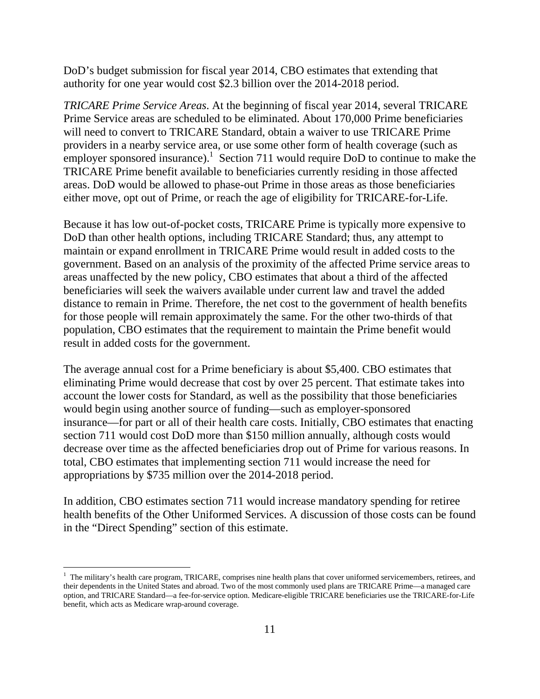DoD's budget submission for fiscal year 2014, CBO estimates that extending that authority for one year would cost \$2.3 billion over the 2014-2018 period.

*TRICARE Prime Service Areas*. At the beginning of fiscal year 2014, several TRICARE Prime Service areas are scheduled to be eliminated. About 170,000 Prime beneficiaries will need to convert to TRICARE Standard, obtain a waiver to use TRICARE Prime providers in a nearby service area, or use some other form of health coverage (such as employer sponsored insurance).<sup>1</sup> Section 711 would require DoD to continue to make the TRICARE Prime benefit available to beneficiaries currently residing in those affected areas. DoD would be allowed to phase-out Prime in those areas as those beneficiaries either move, opt out of Prime, or reach the age of eligibility for TRICARE-for-Life.

Because it has low out-of-pocket costs, TRICARE Prime is typically more expensive to DoD than other health options, including TRICARE Standard; thus, any attempt to maintain or expand enrollment in TRICARE Prime would result in added costs to the government. Based on an analysis of the proximity of the affected Prime service areas to areas unaffected by the new policy, CBO estimates that about a third of the affected beneficiaries will seek the waivers available under current law and travel the added distance to remain in Prime. Therefore, the net cost to the government of health benefits for those people will remain approximately the same. For the other two-thirds of that population, CBO estimates that the requirement to maintain the Prime benefit would result in added costs for the government.

The average annual cost for a Prime beneficiary is about \$5,400. CBO estimates that eliminating Prime would decrease that cost by over 25 percent. That estimate takes into account the lower costs for Standard, as well as the possibility that those beneficiaries would begin using another source of funding—such as employer-sponsored insurance—for part or all of their health care costs. Initially, CBO estimates that enacting section 711 would cost DoD more than \$150 million annually, although costs would decrease over time as the affected beneficiaries drop out of Prime for various reasons. In total, CBO estimates that implementing section 711 would increase the need for appropriations by \$735 million over the 2014-2018 period.

In addition, CBO estimates section 711 would increase mandatory spending for retiree health benefits of the Other Uniformed Services. A discussion of those costs can be found in the "Direct Spending" section of this estimate.

 $\overline{a}$ 

<sup>&</sup>lt;sup>1</sup> The military's health care program, TRICARE, comprises nine health plans that cover uniformed servicemembers, retirees, and their dependents in the United States and abroad. Two of the most commonly used plans are TRICARE Prime—a managed care option, and TRICARE Standard—a fee-for-service option. Medicare-eligible TRICARE beneficiaries use the TRICARE-for-Life benefit, which acts as Medicare wrap-around coverage.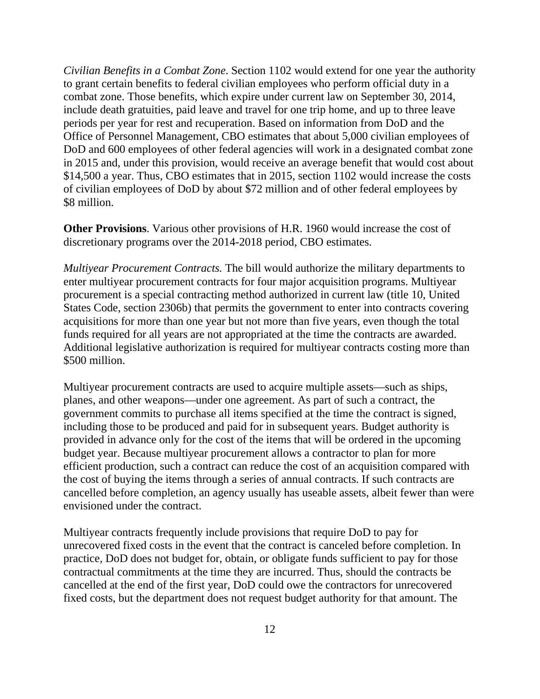*Civilian Benefits in a Combat Zone*. Section 1102 would extend for one year the authority to grant certain benefits to federal civilian employees who perform official duty in a combat zone. Those benefits, which expire under current law on September 30, 2014, include death gratuities, paid leave and travel for one trip home, and up to three leave periods per year for rest and recuperation. Based on information from DoD and the Office of Personnel Management, CBO estimates that about 5,000 civilian employees of DoD and 600 employees of other federal agencies will work in a designated combat zone in 2015 and, under this provision, would receive an average benefit that would cost about \$14,500 a year. Thus, CBO estimates that in 2015, section 1102 would increase the costs of civilian employees of DoD by about \$72 million and of other federal employees by \$8 million.

**Other Provisions**. Various other provisions of H.R. 1960 would increase the cost of discretionary programs over the 2014-2018 period, CBO estimates.

*Multiyear Procurement Contracts.* The bill would authorize the military departments to enter multiyear procurement contracts for four major acquisition programs. Multiyear procurement is a special contracting method authorized in current law (title 10, United States Code, section 2306b) that permits the government to enter into contracts covering acquisitions for more than one year but not more than five years, even though the total funds required for all years are not appropriated at the time the contracts are awarded. Additional legislative authorization is required for multiyear contracts costing more than \$500 million.

Multiyear procurement contracts are used to acquire multiple assets—such as ships, planes, and other weapons—under one agreement. As part of such a contract, the government commits to purchase all items specified at the time the contract is signed, including those to be produced and paid for in subsequent years. Budget authority is provided in advance only for the cost of the items that will be ordered in the upcoming budget year. Because multiyear procurement allows a contractor to plan for more efficient production, such a contract can reduce the cost of an acquisition compared with the cost of buying the items through a series of annual contracts. If such contracts are cancelled before completion, an agency usually has useable assets, albeit fewer than were envisioned under the contract.

Multiyear contracts frequently include provisions that require DoD to pay for unrecovered fixed costs in the event that the contract is canceled before completion. In practice, DoD does not budget for, obtain, or obligate funds sufficient to pay for those contractual commitments at the time they are incurred. Thus, should the contracts be cancelled at the end of the first year, DoD could owe the contractors for unrecovered fixed costs, but the department does not request budget authority for that amount. The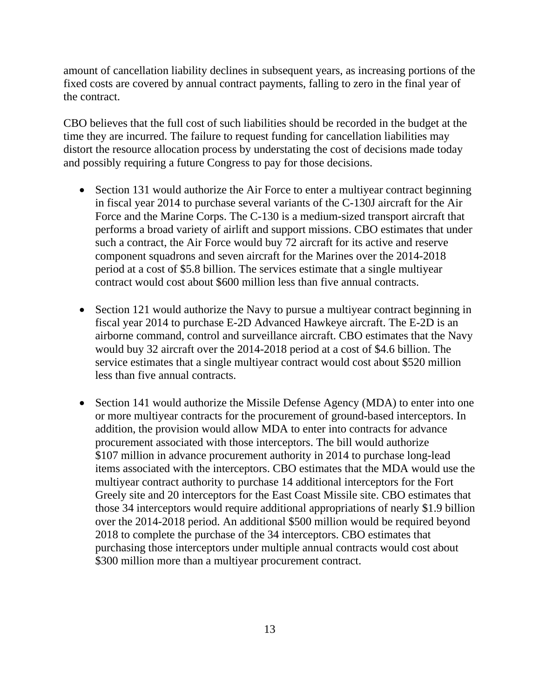amount of cancellation liability declines in subsequent years, as increasing portions of the fixed costs are covered by annual contract payments, falling to zero in the final year of the contract.

CBO believes that the full cost of such liabilities should be recorded in the budget at the time they are incurred. The failure to request funding for cancellation liabilities may distort the resource allocation process by understating the cost of decisions made today and possibly requiring a future Congress to pay for those decisions.

- Section 131 would authorize the Air Force to enter a multiyear contract beginning in fiscal year 2014 to purchase several variants of the C-130J aircraft for the Air Force and the Marine Corps. The C-130 is a medium-sized transport aircraft that performs a broad variety of airlift and support missions. CBO estimates that under such a contract, the Air Force would buy 72 aircraft for its active and reserve component squadrons and seven aircraft for the Marines over the 2014-2018 period at a cost of \$5.8 billion. The services estimate that a single multiyear contract would cost about \$600 million less than five annual contracts.
- Section 121 would authorize the Navy to pursue a multiyear contract beginning in fiscal year 2014 to purchase E-2D Advanced Hawkeye aircraft. The E-2D is an airborne command, control and surveillance aircraft. CBO estimates that the Navy would buy 32 aircraft over the 2014-2018 period at a cost of \$4.6 billion. The service estimates that a single multiyear contract would cost about \$520 million less than five annual contracts.
- Section 141 would authorize the Missile Defense Agency (MDA) to enter into one or more multiyear contracts for the procurement of ground-based interceptors. In addition, the provision would allow MDA to enter into contracts for advance procurement associated with those interceptors. The bill would authorize \$107 million in advance procurement authority in 2014 to purchase long-lead items associated with the interceptors. CBO estimates that the MDA would use the multiyear contract authority to purchase 14 additional interceptors for the Fort Greely site and 20 interceptors for the East Coast Missile site. CBO estimates that those 34 interceptors would require additional appropriations of nearly \$1.9 billion over the 2014-2018 period. An additional \$500 million would be required beyond 2018 to complete the purchase of the 34 interceptors. CBO estimates that purchasing those interceptors under multiple annual contracts would cost about \$300 million more than a multiyear procurement contract.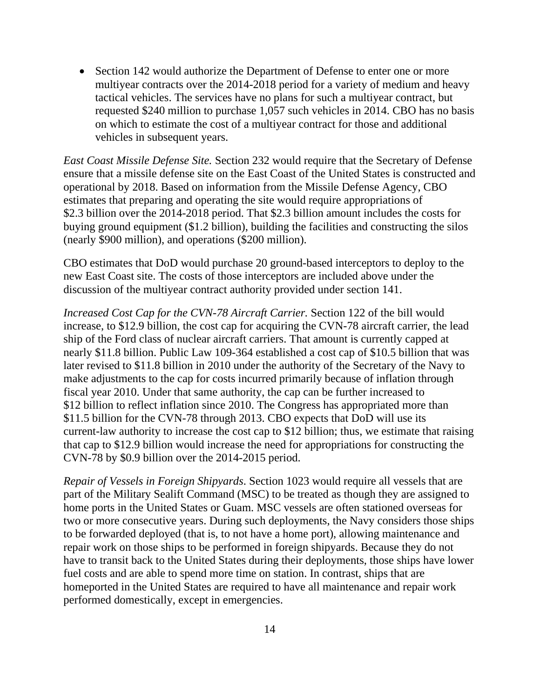• Section 142 would authorize the Department of Defense to enter one or more multiyear contracts over the 2014-2018 period for a variety of medium and heavy tactical vehicles. The services have no plans for such a multiyear contract, but requested \$240 million to purchase 1,057 such vehicles in 2014. CBO has no basis on which to estimate the cost of a multiyear contract for those and additional vehicles in subsequent years.

*East Coast Missile Defense Site.* Section 232 would require that the Secretary of Defense ensure that a missile defense site on the East Coast of the United States is constructed and operational by 2018. Based on information from the Missile Defense Agency, CBO estimates that preparing and operating the site would require appropriations of \$2.3 billion over the 2014-2018 period. That \$2.3 billion amount includes the costs for buying ground equipment (\$1.2 billion), building the facilities and constructing the silos (nearly \$900 million), and operations (\$200 million).

CBO estimates that DoD would purchase 20 ground-based interceptors to deploy to the new East Coast site. The costs of those interceptors are included above under the discussion of the multiyear contract authority provided under section 141.

*Increased Cost Cap for the CVN-78 Aircraft Carrier.* Section 122 of the bill would increase, to \$12.9 billion, the cost cap for acquiring the CVN-78 aircraft carrier, the lead ship of the Ford class of nuclear aircraft carriers. That amount is currently capped at nearly \$11.8 billion. Public Law 109-364 established a cost cap of \$10.5 billion that was later revised to \$11.8 billion in 2010 under the authority of the Secretary of the Navy to make adjustments to the cap for costs incurred primarily because of inflation through fiscal year 2010. Under that same authority, the cap can be further increased to \$12 billion to reflect inflation since 2010. The Congress has appropriated more than \$11.5 billion for the CVN-78 through 2013. CBO expects that DoD will use its current-law authority to increase the cost cap to \$12 billion; thus, we estimate that raising that cap to \$12.9 billion would increase the need for appropriations for constructing the CVN-78 by \$0.9 billion over the 2014-2015 period.

*Repair of Vessels in Foreign Shipyards*. Section 1023 would require all vessels that are part of the Military Sealift Command (MSC) to be treated as though they are assigned to home ports in the United States or Guam. MSC vessels are often stationed overseas for two or more consecutive years. During such deployments, the Navy considers those ships to be forwarded deployed (that is, to not have a home port), allowing maintenance and repair work on those ships to be performed in foreign shipyards. Because they do not have to transit back to the United States during their deployments, those ships have lower fuel costs and are able to spend more time on station. In contrast, ships that are homeported in the United States are required to have all maintenance and repair work performed domestically, except in emergencies.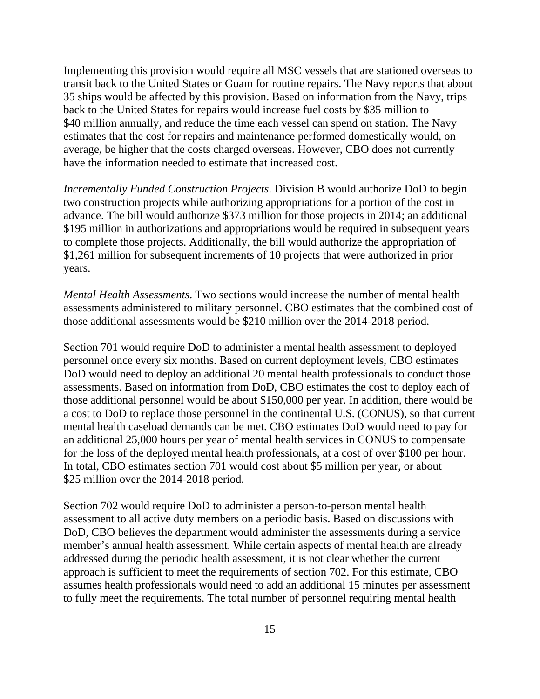Implementing this provision would require all MSC vessels that are stationed overseas to transit back to the United States or Guam for routine repairs. The Navy reports that about 35 ships would be affected by this provision. Based on information from the Navy, trips back to the United States for repairs would increase fuel costs by \$35 million to \$40 million annually, and reduce the time each vessel can spend on station. The Navy estimates that the cost for repairs and maintenance performed domestically would, on average, be higher that the costs charged overseas. However, CBO does not currently have the information needed to estimate that increased cost.

*Incrementally Funded Construction Projects*. Division B would authorize DoD to begin two construction projects while authorizing appropriations for a portion of the cost in advance. The bill would authorize \$373 million for those projects in 2014; an additional \$195 million in authorizations and appropriations would be required in subsequent years to complete those projects. Additionally, the bill would authorize the appropriation of \$1,261 million for subsequent increments of 10 projects that were authorized in prior years.

*Mental Health Assessments*. Two sections would increase the number of mental health assessments administered to military personnel. CBO estimates that the combined cost of those additional assessments would be \$210 million over the 2014-2018 period.

Section 701 would require DoD to administer a mental health assessment to deployed personnel once every six months. Based on current deployment levels, CBO estimates DoD would need to deploy an additional 20 mental health professionals to conduct those assessments. Based on information from DoD, CBO estimates the cost to deploy each of those additional personnel would be about \$150,000 per year. In addition, there would be a cost to DoD to replace those personnel in the continental U.S. (CONUS), so that current mental health caseload demands can be met. CBO estimates DoD would need to pay for an additional 25,000 hours per year of mental health services in CONUS to compensate for the loss of the deployed mental health professionals, at a cost of over \$100 per hour. In total, CBO estimates section 701 would cost about \$5 million per year, or about \$25 million over the 2014-2018 period.

Section 702 would require DoD to administer a person-to-person mental health assessment to all active duty members on a periodic basis. Based on discussions with DoD, CBO believes the department would administer the assessments during a service member's annual health assessment. While certain aspects of mental health are already addressed during the periodic health assessment, it is not clear whether the current approach is sufficient to meet the requirements of section 702. For this estimate, CBO assumes health professionals would need to add an additional 15 minutes per assessment to fully meet the requirements. The total number of personnel requiring mental health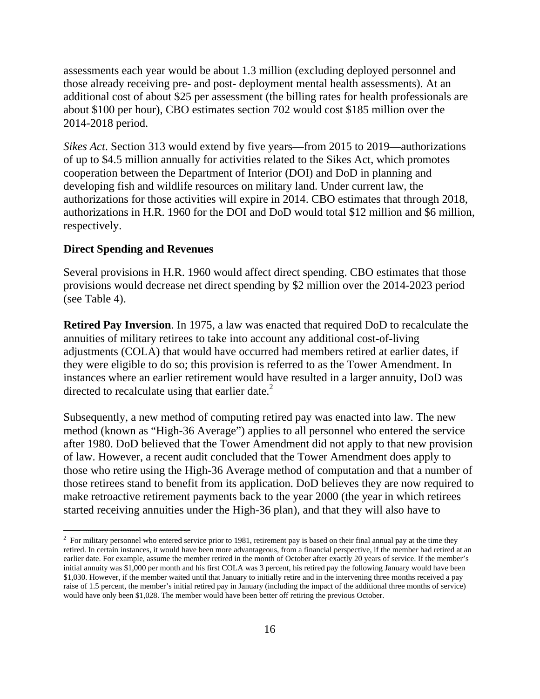assessments each year would be about 1.3 million (excluding deployed personnel and those already receiving pre- and post- deployment mental health assessments). At an additional cost of about \$25 per assessment (the billing rates for health professionals are about \$100 per hour), CBO estimates section 702 would cost \$185 million over the 2014-2018 period.

*Sikes Act*. Section 313 would extend by five years—from 2015 to 2019—authorizations of up to \$4.5 million annually for activities related to the Sikes Act, which promotes cooperation between the Department of Interior (DOI) and DoD in planning and developing fish and wildlife resources on military land. Under current law, the authorizations for those activities will expire in 2014. CBO estimates that through 2018, authorizations in H.R. 1960 for the DOI and DoD would total \$12 million and \$6 million, respectively.

### **Direct Spending and Revenues**

 $\overline{a}$ 

Several provisions in H.R. 1960 would affect direct spending. CBO estimates that those provisions would decrease net direct spending by \$2 million over the 2014-2023 period (see Table 4).

**Retired Pay Inversion**. In 1975, a law was enacted that required DoD to recalculate the annuities of military retirees to take into account any additional cost-of-living adjustments (COLA) that would have occurred had members retired at earlier dates, if they were eligible to do so; this provision is referred to as the Tower Amendment. In instances where an earlier retirement would have resulted in a larger annuity, DoD was directed to recalculate using that earlier date. $^{2}$ 

Subsequently, a new method of computing retired pay was enacted into law. The new method (known as "High-36 Average") applies to all personnel who entered the service after 1980. DoD believed that the Tower Amendment did not apply to that new provision of law. However, a recent audit concluded that the Tower Amendment does apply to those who retire using the High-36 Average method of computation and that a number of those retirees stand to benefit from its application. DoD believes they are now required to make retroactive retirement payments back to the year 2000 (the year in which retirees started receiving annuities under the High-36 plan), and that they will also have to

<sup>&</sup>lt;sup>2</sup> For military personnel who entered service prior to 1981, retirement pay is based on their final annual pay at the time they retired. In certain instances, it would have been more advantageous, from a financial perspective, if the member had retired at an earlier date. For example, assume the member retired in the month of October after exactly 20 years of service. If the member's initial annuity was \$1,000 per month and his first COLA was 3 percent, his retired pay the following January would have been \$1,030. However, if the member waited until that January to initially retire and in the intervening three months received a pay raise of 1.5 percent, the member's initial retired pay in January (including the impact of the additional three months of service) would have only been \$1,028. The member would have been better off retiring the previous October.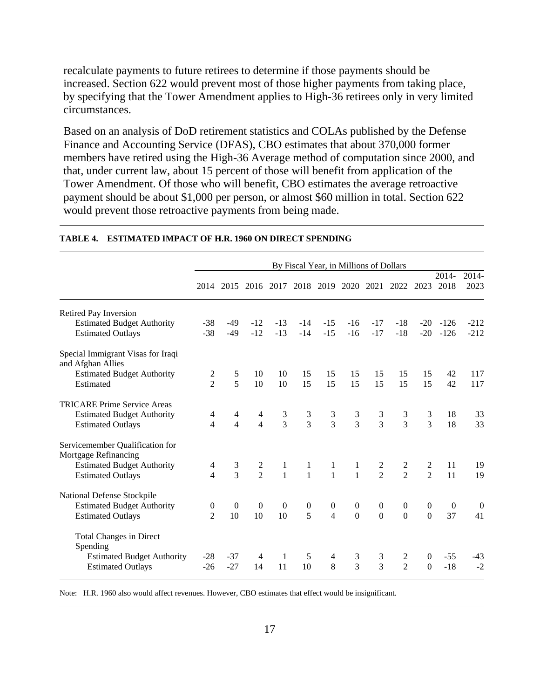recalculate payments to future retirees to determine if those payments should be increased. Section 622 would prevent most of those higher payments from taking place, by specifying that the Tower Amendment applies to High-36 retirees only in very limited circumstances.

Based on an analysis of DoD retirement statistics and COLAs published by the Defense Finance and Accounting Service (DFAS), CBO estimates that about 370,000 former members have retired using the High-36 Average method of computation since 2000, and that, under current law, about 15 percent of those will benefit from application of the Tower Amendment. Of those who will benefit, CBO estimates the average retroactive payment should be about \$1,000 per person, or almost \$60 million in total. Section 622 would prevent those retroactive payments from being made.

|                                                         |                          |                |                |                |                  |                  | By Fiscal Year, in Millions of Dollars |                  |                |                |                  |                  |
|---------------------------------------------------------|--------------------------|----------------|----------------|----------------|------------------|------------------|----------------------------------------|------------------|----------------|----------------|------------------|------------------|
|                                                         |                          |                |                |                |                  |                  |                                        |                  |                |                | 2014-            | 2014-            |
|                                                         | 2014                     |                |                |                |                  |                  | 2015 2016 2017 2018 2019 2020          |                  | 2021 2022      | 2023           | 2018             | 2023             |
| Retired Pay Inversion                                   |                          |                |                |                |                  |                  |                                        |                  |                |                |                  |                  |
| <b>Estimated Budget Authority</b>                       | $-38$                    | -49            | $-12$          | $-13$          | $-14$            | $-15$            | $-16$                                  | $-17$            | $-18$          | $-20$          | $-126$           | $-212$           |
| <b>Estimated Outlays</b>                                | $-38$                    | $-49$          | $-12$          | $-13$          | $-14$            | $-15$            | $-16$                                  | $-17$            | $-18$          | $-20$          | $-126$           | $-212$           |
| Special Immigrant Visas for Iraqi<br>and Afghan Allies  |                          |                |                |                |                  |                  |                                        |                  |                |                |                  |                  |
| <b>Estimated Budget Authority</b>                       | 2                        | 5              | 10             | 10             | 15               | 15               | 15                                     | 15               | 15             | 15             | 42               | 117              |
| Estimated                                               | $\overline{2}$           | 5              | 10             | 10             | 15               | 15               | 15                                     | 15               | 15             | 15             | 42               | 117              |
| <b>TRICARE Prime Service Areas</b>                      |                          |                |                |                |                  |                  |                                        |                  |                |                |                  |                  |
| <b>Estimated Budget Authority</b>                       | 4                        | 4              | 4              | $\frac{3}{3}$  | $\frac{3}{3}$    | $\frac{3}{3}$    | $\frac{3}{3}$                          | $\frac{3}{3}$    | $\frac{3}{3}$  | 3              | 18               | 33               |
| <b>Estimated Outlays</b>                                | $\overline{4}$           | $\overline{4}$ | $\overline{4}$ |                |                  |                  |                                        |                  |                | $\overline{3}$ | 18               | 33               |
| Servicemember Qualification for<br>Mortgage Refinancing |                          |                |                |                |                  |                  |                                        |                  |                |                |                  |                  |
| <b>Estimated Budget Authority</b>                       | 4                        | $\frac{3}{3}$  | $\frac{2}{2}$  |                | $\mathbf{1}$     | $\mathbf{1}$     | $\mathbf{1}$                           | $\frac{2}{2}$    | $\frac{2}{2}$  | $\frac{2}{2}$  | 11               | 19               |
| <b>Estimated Outlays</b>                                | $\overline{\mathcal{A}}$ |                |                | $\frac{1}{1}$  | $\mathbf{1}$     | $\mathbf{1}$     | $\overline{1}$                         |                  |                |                | 11               | 19               |
| National Defense Stockpile                              |                          |                |                |                |                  |                  |                                        |                  |                |                |                  |                  |
| <b>Estimated Budget Authority</b>                       | $\boldsymbol{0}$         | $\overline{0}$ | $\theta$       | $\overline{0}$ | $\boldsymbol{0}$ | $\boldsymbol{0}$ | $\boldsymbol{0}$                       | $\boldsymbol{0}$ | $\mathbf{0}$   | $\overline{0}$ | $\boldsymbol{0}$ | $\boldsymbol{0}$ |
| <b>Estimated Outlays</b>                                | $\mathfrak{D}$           | 10             | 10             | 10             | 5                | $\overline{4}$   | $\overline{0}$                         | $\Omega$         | $\Omega$       | $\Omega$       | 37               | 41               |
| Total Changes in Direct<br>Spending                     |                          |                |                |                |                  |                  |                                        |                  |                |                |                  |                  |
| <b>Estimated Budget Authority</b>                       | $-28$                    | $-37$          | 4              | 1              | 5                | 4                | $\mathfrak{Z}$                         | 3                | 2              | $\overline{0}$ | $-55$            | $-43$            |
| <b>Estimated Outlays</b>                                | $-26$                    | $-27$          | 14             | 11             | 10               | 8                | $\overline{3}$                         | 3                | $\overline{2}$ | $\Omega$       | $-18$            | $-2$             |

#### **TABLE 4. ESTIMATED IMPACT OF H.R. 1960 ON DIRECT SPENDING**

Note: H.R. 1960 also would affect revenues. However, CBO estimates that effect would be insignificant.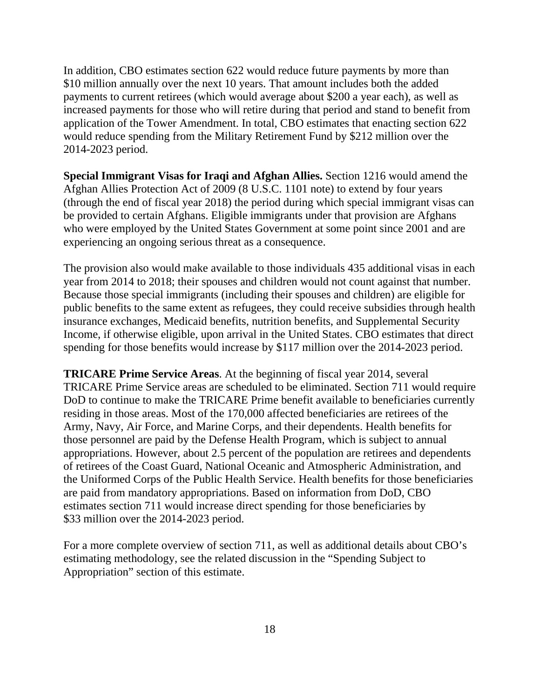In addition, CBO estimates section 622 would reduce future payments by more than \$10 million annually over the next 10 years. That amount includes both the added payments to current retirees (which would average about \$200 a year each), as well as increased payments for those who will retire during that period and stand to benefit from application of the Tower Amendment. In total, CBO estimates that enacting section 622 would reduce spending from the Military Retirement Fund by \$212 million over the 2014-2023 period.

**Special Immigrant Visas for Iraqi and Afghan Allies.** Section 1216 would amend the Afghan Allies Protection Act of 2009 (8 U.S.C. 1101 note) to extend by four years (through the end of fiscal year 2018) the period during which special immigrant visas can be provided to certain Afghans. Eligible immigrants under that provision are Afghans who were employed by the United States Government at some point since 2001 and are experiencing an ongoing serious threat as a consequence.

The provision also would make available to those individuals 435 additional visas in each year from 2014 to 2018; their spouses and children would not count against that number. Because those special immigrants (including their spouses and children) are eligible for public benefits to the same extent as refugees, they could receive subsidies through health insurance exchanges, Medicaid benefits, nutrition benefits, and Supplemental Security Income, if otherwise eligible, upon arrival in the United States. CBO estimates that direct spending for those benefits would increase by \$117 million over the 2014-2023 period.

**TRICARE Prime Service Areas**. At the beginning of fiscal year 2014, several TRICARE Prime Service areas are scheduled to be eliminated. Section 711 would require DoD to continue to make the TRICARE Prime benefit available to beneficiaries currently residing in those areas. Most of the 170,000 affected beneficiaries are retirees of the Army, Navy, Air Force, and Marine Corps, and their dependents. Health benefits for those personnel are paid by the Defense Health Program, which is subject to annual appropriations. However, about 2.5 percent of the population are retirees and dependents of retirees of the Coast Guard, National Oceanic and Atmospheric Administration, and the Uniformed Corps of the Public Health Service. Health benefits for those beneficiaries are paid from mandatory appropriations. Based on information from DoD, CBO estimates section 711 would increase direct spending for those beneficiaries by \$33 million over the 2014-2023 period.

For a more complete overview of section 711, as well as additional details about CBO's estimating methodology, see the related discussion in the "Spending Subject to Appropriation" section of this estimate.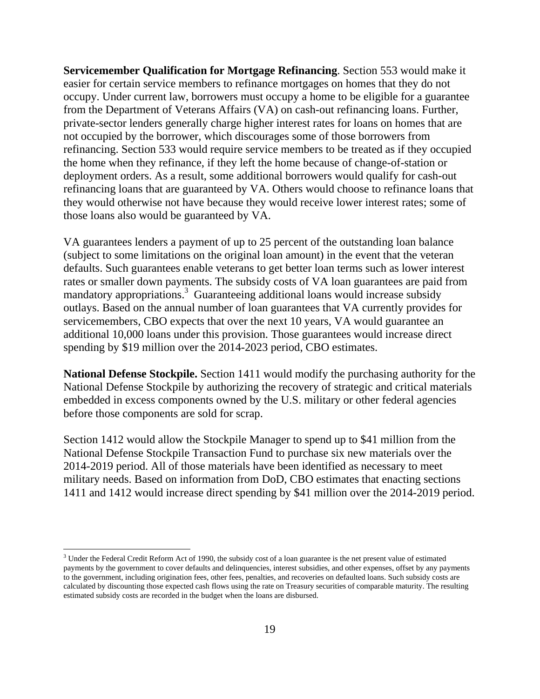**Servicemember Qualification for Mortgage Refinancing**. Section 553 would make it easier for certain service members to refinance mortgages on homes that they do not occupy. Under current law, borrowers must occupy a home to be eligible for a guarantee from the Department of Veterans Affairs (VA) on cash-out refinancing loans. Further, private-sector lenders generally charge higher interest rates for loans on homes that are not occupied by the borrower, which discourages some of those borrowers from refinancing. Section 533 would require service members to be treated as if they occupied the home when they refinance, if they left the home because of change-of-station or deployment orders. As a result, some additional borrowers would qualify for cash-out refinancing loans that are guaranteed by VA. Others would choose to refinance loans that they would otherwise not have because they would receive lower interest rates; some of those loans also would be guaranteed by VA.

VA guarantees lenders a payment of up to 25 percent of the outstanding loan balance (subject to some limitations on the original loan amount) in the event that the veteran defaults. Such guarantees enable veterans to get better loan terms such as lower interest rates or smaller down payments. The subsidy costs of VA loan guarantees are paid from mandatory appropriations.<sup>3</sup> Guaranteeing additional loans would increase subsidy outlays. Based on the annual number of loan guarantees that VA currently provides for servicemembers, CBO expects that over the next 10 years, VA would guarantee an additional 10,000 loans under this provision. Those guarantees would increase direct spending by \$19 million over the 2014-2023 period, CBO estimates.

**National Defense Stockpile.** Section 1411 would modify the purchasing authority for the National Defense Stockpile by authorizing the recovery of strategic and critical materials embedded in excess components owned by the U.S. military or other federal agencies before those components are sold for scrap.

Section 1412 would allow the Stockpile Manager to spend up to \$41 million from the National Defense Stockpile Transaction Fund to purchase six new materials over the 2014-2019 period. All of those materials have been identified as necessary to meet military needs. Based on information from DoD, CBO estimates that enacting sections 1411 and 1412 would increase direct spending by \$41 million over the 2014-2019 period.

 $\overline{a}$ 

 $3$  Under the Federal Credit Reform Act of 1990, the subsidy cost of a loan guarantee is the net present value of estimated payments by the government to cover defaults and delinquencies, interest subsidies, and other expenses, offset by any payments to the government, including origination fees, other fees, penalties, and recoveries on defaulted loans. Such subsidy costs are calculated by discounting those expected cash flows using the rate on Treasury securities of comparable maturity. The resulting estimated subsidy costs are recorded in the budget when the loans are disbursed.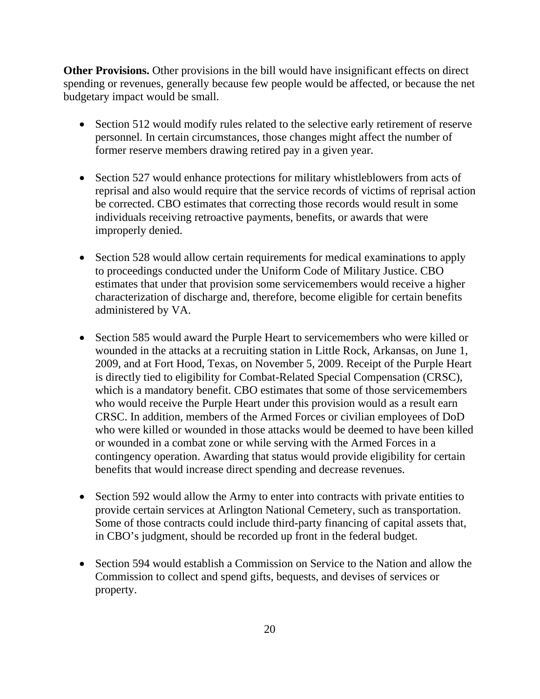**Other Provisions.** Other provisions in the bill would have insignificant effects on direct spending or revenues, generally because few people would be affected, or because the net budgetary impact would be small.

- Section 512 would modify rules related to the selective early retirement of reserve personnel. In certain circumstances, those changes might affect the number of former reserve members drawing retired pay in a given year.
- Section 527 would enhance protections for military whistleblowers from acts of reprisal and also would require that the service records of victims of reprisal action be corrected. CBO estimates that correcting those records would result in some individuals receiving retroactive payments, benefits, or awards that were improperly denied.
- Section 528 would allow certain requirements for medical examinations to apply to proceedings conducted under the Uniform Code of Military Justice. CBO estimates that under that provision some servicemembers would receive a higher characterization of discharge and, therefore, become eligible for certain benefits administered by VA.
- Section 585 would award the Purple Heart to servicemembers who were killed or wounded in the attacks at a recruiting station in Little Rock, Arkansas, on June 1, 2009, and at Fort Hood, Texas, on November 5, 2009. Receipt of the Purple Heart is directly tied to eligibility for Combat-Related Special Compensation (CRSC), which is a mandatory benefit. CBO estimates that some of those servicemembers who would receive the Purple Heart under this provision would as a result earn CRSC. In addition, members of the Armed Forces or civilian employees of DoD who were killed or wounded in those attacks would be deemed to have been killed or wounded in a combat zone or while serving with the Armed Forces in a contingency operation. Awarding that status would provide eligibility for certain benefits that would increase direct spending and decrease revenues.
- Section 592 would allow the Army to enter into contracts with private entities to provide certain services at Arlington National Cemetery, such as transportation. Some of those contracts could include third-party financing of capital assets that, in CBO's judgment, should be recorded up front in the federal budget.
- Section 594 would establish a Commission on Service to the Nation and allow the Commission to collect and spend gifts, bequests, and devises of services or property.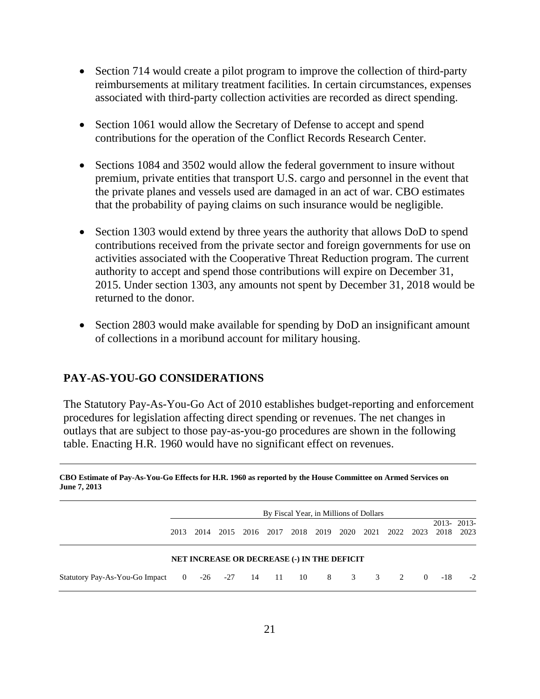- Section 714 would create a pilot program to improve the collection of third-party reimbursements at military treatment facilities. In certain circumstances, expenses associated with third-party collection activities are recorded as direct spending.
- Section 1061 would allow the Secretary of Defense to accept and spend contributions for the operation of the Conflict Records Research Center.
- Sections 1084 and 3502 would allow the federal government to insure without premium, private entities that transport U.S. cargo and personnel in the event that the private planes and vessels used are damaged in an act of war. CBO estimates that the probability of paying claims on such insurance would be negligible.
- Section 1303 would extend by three years the authority that allows DoD to spend contributions received from the private sector and foreign governments for use on activities associated with the Cooperative Threat Reduction program. The current authority to accept and spend those contributions will expire on December 31, 2015. Under section 1303, any amounts not spent by December 31, 2018 would be returned to the donor.
- Section 2803 would make available for spending by DoD an insignificant amount of collections in a moribund account for military housing.

# **PAY-AS-YOU-GO CONSIDERATIONS**

The Statutory Pay-As-You-Go Act of 2010 establishes budget-reporting and enforcement procedures for legislation affecting direct spending or revenues. The net changes in outlays that are subject to those pay-as-you-go procedures are shown in the following table. Enacting H.R. 1960 would have no significant effect on revenues.

|                                                   |      |      |      |  |  | By Fiscal Year, in Millions of Dollars |      |     |  |                |          |                    |      |
|---------------------------------------------------|------|------|------|--|--|----------------------------------------|------|-----|--|----------------|----------|--------------------|------|
|                                                   | 2013 | 2014 | 2015 |  |  | 2016 2017 2018                         | 2019 |     |  | 2020 2021 2022 | 2023     | 2013-2013-<br>2018 | 2023 |
| NET INCREASE OR DECREASE (-) IN THE DEFICIT       |      |      |      |  |  |                                        |      |     |  |                |          |                    |      |
| Statutory Pay-As-You-Go Impact 0 -26 -27 14 11 10 |      |      |      |  |  |                                        | 8    | 3 3 |  | $\mathcal{L}$  | $\Omega$ | $-18$              | $-2$ |

**CBO Estimate of Pay-As-You-Go Effects for H.R. 1960 as reported by the House Committee on Armed Services on June 7, 2013**